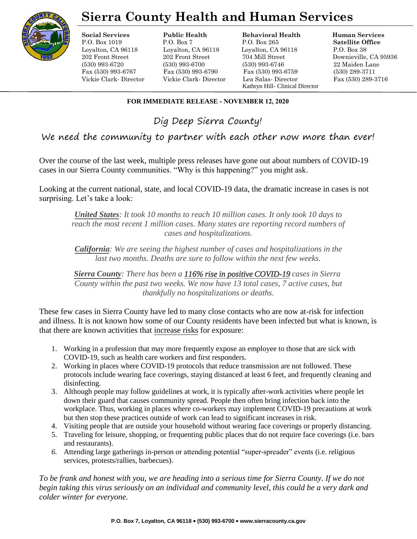

# **Sierra County Health and Human Services**

**Social Services Public Health Behavioral Health Human Services**

P.O. Box 1019 P.O. Box 7 P.O. Box 265 **Satellite Office** Loyalton, CA 96118 Loyalton, CA 96118 Loyalton, CA 96118 P.O. Box 38 202 Front Street 202 Front Street 704 Mill Street Downieville, CA 95936 (530) 993-6720 (530) 993-6700 (530) 993-6746 22 Maiden Lane Fax (530) 993-6767 Fax (530) 993-6790 Fax (530) 993-6759 (530) 289-3711 Vickie Clark- Director Vickie Clark- Director Lea Salas- Director Fax (530) 289-3716 Kathryn Hill- Clinical Director

# **FOR IMMEDIATE RELEASE - NOVEMBER 12, 2020**

Dig Deep Sierra County!

We need the community to partner with each other now more than ever!

Over the course of the last week, multiple press releases have gone out about numbers of COVID-19 cases in our Sierra County communities. "Why is this happening?" you might ask.

Looking at the current national, state, and local COVID-19 data, the dramatic increase in cases is not surprising. Let's take a look:

*United States: It took 10 months to reach 10 million cases. It only took 10 days to*  reach the most recent 1 million cases. Many states are reporting record numbers of *cases and hospitalizations.* 

*California: We are seeing the highest number of cases and hospitalizations in the last two months. Deaths are sure to follow within the next few weeks.* 

*Sierra County: There has been a 116% rise in positive COVID-19 cases in Sierra County within the past two weeks. We now have 13 total cases, 7 active cases, but thankfully no hospitalizations or deaths.* 

These few cases in Sierra County have led to many close contacts who are now at-risk for infection and illness. It is not known how some of our County residents have been infected but what is known, is that there are known activities that increase risks for exposure:

- 1. Working in a profession that may more frequently expose an employee to those that are sick with COVID-19, such as health care workers and first responders.
- 2. Working in places where COVID-19 protocols that reduce transmission are not followed. These protocols include wearing face coverings, staying distanced at least 6 feet, and frequently cleaning and disinfecting.
- 3. Although people may follow guidelines at work, it is typically after-work activities where people let down their guard that causes community spread. People then often bring infection back into the workplace. Thus, working in places where co-workers may implement COVID-19 precautions at work but then stop these practices outside of work can lead to significant increases in risk.
- 4. Visiting people that are outside your household without wearing face coverings or properly distancing.
- 5. Traveling for leisure, shopping, or frequenting public places that do not require face coverings (i.e. bars and restaurants).
- *6.* Attending large gatherings in-person or attending potential "super-spreader" events (i.e. religious services, protests/rallies, barbecues).

*To be frank and honest with you, we are heading into a serious time for Sierra County. If we do not begin taking this virus seriously on an individual and community level, this could be a very dark and colder winter for everyone.*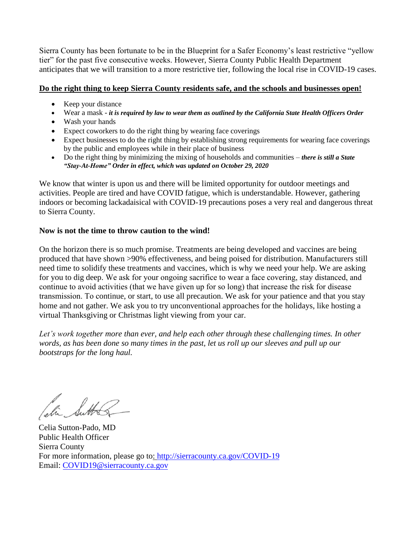Sierra County has been fortunate to be in the Blueprint for a Safer Economy's least restrictive "yellow tier" for the past five consecutive weeks. However, Sierra County Public Health Department anticipates that we will transition to a more restrictive tier, following the local rise in COVID-19 cases.

## **Do the right thing to keep Sierra County residents safe, and the schools and businesses open!**

- Keep your distance
- Wear a mask *it is required by law to wear them as outlined by the California State Health Officers Order*
- Wash your hands
- Expect coworkers to do the right thing by wearing face coverings
- Expect businesses to do the right thing by establishing strong requirements for wearing face coverings by the public and employees while in their place of business
- Do the right thing by minimizing the mixing of households and communities *there is still a State "Stay-At-Home" Order in effect, which was updated on October 29, 2020*

We know that winter is upon us and there will be limited opportunity for outdoor meetings and activities. People are tired and have COVID fatigue, which is understandable. However, gathering indoors or becoming lackadaisical with COVID-19 precautions poses a very real and dangerous threat to Sierra County.

## **Now is not the time to throw caution to the wind!**

On the horizon there is so much promise. Treatments are being developed and vaccines are being produced that have shown >90% effectiveness, and being poised for distribution. Manufacturers still need time to solidify these treatments and vaccines, which is why we need your help. We are asking for you to dig deep. We ask for your ongoing sacrifice to wear a face covering, stay distanced, and continue to avoid activities (that we have given up for so long) that increase the risk for disease transmission. To continue, or start, to use all precaution. We ask for your patience and that you stay home and not gather. We ask you to try unconventional approaches for the holidays, like hosting a virtual Thanksgiving or Christmas light viewing from your car.

Let's work together more than ever, and help each other through these challenging times. In other *words, as has been done so many times in the past, let us roll up our sleeves and pull up our bootstraps for the long haul.* 

Celia Sutton-Pado, MD Public Health Officer Sierra County For more information, please go [to: http://sierracounty.ca.gov/COVID-19](http://sierracounty.ca.gov/582/Coronavirus-COVID-19) Email: COVID19@sierracounty.ca.gov